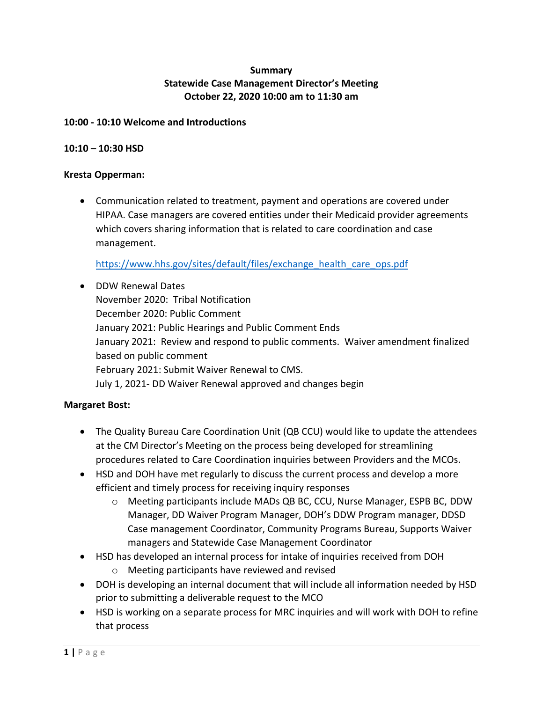# **Summary Statewide Case Management Director's Meeting October 22, 2020 10:00 am to 11:30 am**

## **10:00 - 10:10 Welcome and Introductions**

### **10:10 – 10:30 HSD**

#### **Kresta Opperman:**

• Communication related to treatment, payment and operations are covered under HIPAA. Case managers are covered entities under their Medicaid provider agreements which covers sharing information that is related to care coordination and case management.

[https://www.hhs.gov/sites/default/files/exchange\\_health\\_care\\_ops.pdf](https://www.hhs.gov/sites/default/files/exchange_health_care_ops.pdf)

• DDW Renewal Dates November 2020: Tribal Notification December 2020: Public Comment January 2021: Public Hearings and Public Comment Ends January 2021: Review and respond to public comments. Waiver amendment finalized based on public comment February 2021: Submit Waiver Renewal to CMS. July 1, 2021- DD Waiver Renewal approved and changes begin

## **Margaret Bost:**

- The Quality Bureau Care Coordination Unit (QB CCU) would like to update the attendees at the CM Director's Meeting on the process being developed for streamlining procedures related to Care Coordination inquiries between Providers and the MCOs.
- HSD and DOH have met regularly to discuss the current process and develop a more efficient and timely process for receiving inquiry responses
	- o Meeting participants include MADs QB BC, CCU, Nurse Manager, ESPB BC, DDW Manager, DD Waiver Program Manager, DOH's DDW Program manager, DDSD Case management Coordinator, Community Programs Bureau, Supports Waiver managers and Statewide Case Management Coordinator
- HSD has developed an internal process for intake of inquiries received from DOH
	- o Meeting participants have reviewed and revised
- DOH is developing an internal document that will include all information needed by HSD prior to submitting a deliverable request to the MCO
- HSD is working on a separate process for MRC inquiries and will work with DOH to refine that process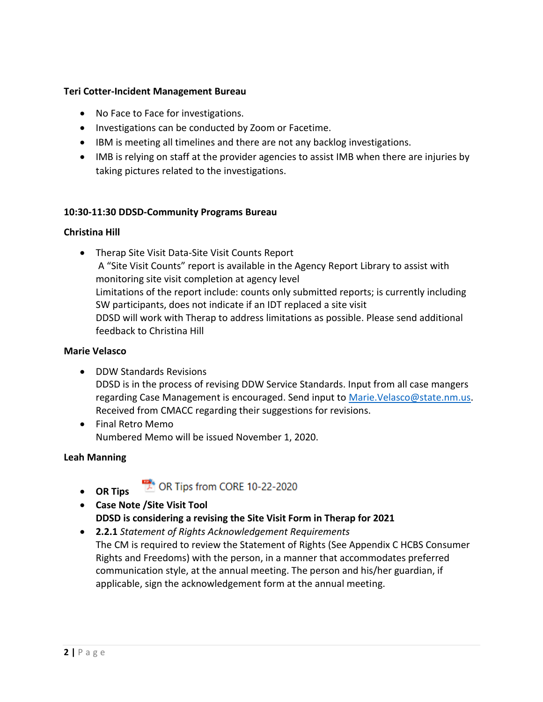#### **Teri Cotter-Incident Management Bureau**

- No Face to Face for investigations.
- Investigations can be conducted by Zoom or Facetime.
- IBM is meeting all timelines and there are not any backlog investigations.
- IMB is relying on staff at the provider agencies to assist IMB when there are injuries by taking pictures related to the investigations.

#### **10:30-11:30 DDSD-Community Programs Bureau**

#### **Christina Hill**

• Therap Site Visit Data-Site Visit Counts Report A "Site Visit Counts" report is available in the Agency Report Library to assist with monitoring site visit completion at agency level Limitations of the report include: counts only submitted reports; is currently including SW participants, does not indicate if an IDT replaced a site visit DDSD will work with Therap to address limitations as possible. Please send additional feedback to Christina Hill

### **Marie Velasco**

- DDW Standards Revisions DDSD is in the process of revising DDW Service Standards. Input from all case mangers regarding Case Management is encouraged. Send input to [Marie.Velasco@state.nm.us.](mailto:Marie.Velasco@state.nm.us) Received from CMACC regarding their suggestions for revisions.
- Final Retro Memo Numbered Memo will be issued November 1, 2020.

#### **Leah Manning**

• **OR Tips** 

DR Tips from CORE 10-22-2020

- **Case Note /Site Visit Tool DDSD is considering a revising the Site Visit Form in Therap for 2021**
- **2.2.1** *Statement of Rights Acknowledgement Requirements*  The CM is required to review the Statement of Rights (See Appendix C HCBS Consumer Rights and Freedoms) with the person, in a manner that accommodates preferred communication style, at the annual meeting. The person and his/her guardian, if applicable, sign the acknowledgement form at the annual meeting.